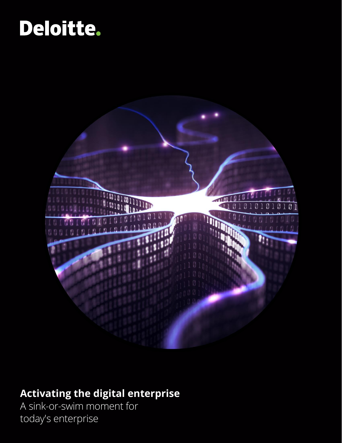# Deloitte.



## **Activating the digital enterprise**

A sink-or-swim moment for today's enterprise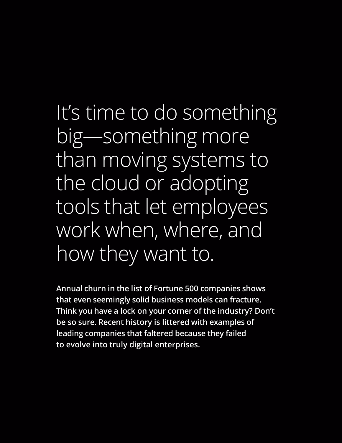It's time to do something big—something more than moving systems to the cloud or adopting tools that let employees work when, where, and how they want to.

**Annual churn in the list of Fortune 500 companies shows that even seemingly solid business models can fracture. Think you have a lock on your corner of the industry? Don't be so sure. Recent history is littered with examples of leading companies that faltered because they failed to evolve into truly digital enterprises.**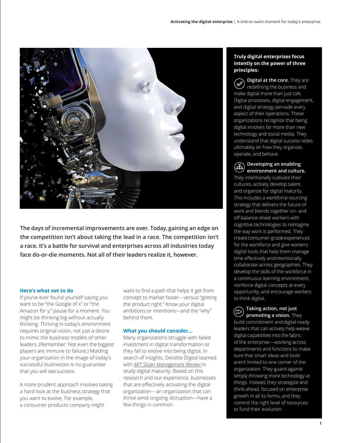

**The days of incremental improvements are over. Today, gaining an edge on the competition isn't about taking the lead in a race. The competition isn't a race. It's a battle for survival and enterprises across all industries today face do-or-die moments. Not all of their leaders realize it, however.**

#### **Here's what** *not* **to do**

If you've ever found yourself saying you want to be "the Google of x" or "the Amazon for y," pause for a moment. You might be thinking big without actually thinking. Thriving in today's environment requires original vision, not just a desire to mimic the business models of other leaders. (Remember: Not even the biggest players are immune to failure.) Molding your organization in the image of today's successful businesses is no guarantee that you will see success.

A more prudent approach involves taking a hard look at the business strategy that you want to evolve. For example, a consumer products company might

want to find a path that helps it get from concept to market faster—versus "getting the product right." Know your digital ambitions or intentions—and the "why" behind them.

#### **What you should consider…**

Many organizations struggle with failed investment in digital transformation or they fail to evolve into being digital. In search of insights, Deloitte Digital teamed with *MIT Sloan Management Review* to study digital maturity. Based on this research and our experience, businesses that are effectively activating the digital organization—an organization that can thrive amid ongoing disruption—have a few things in common.

#### **Truly digital enterprises focus intently on the power of three principles:**

**Digital at the core.** They are redefining the business and make digital more than just talk. Digital processes, digital engagement, and digital strategy pervade every aspect of their operations. These organizations recognize that being digital involves far more than new technology and social media. They understand that digital success relies ultimately on how they organize, operate, and behave.

### **Developing an enabling environment and culture.**

They intentionally cultivate their cultures, actively develop talent, and organize for digital maturity. This includes a workforce sourcing strategy that delivers the future of work and blends together on- and off-balance-sheet workers with cognitive technologies to reimagine the way work is performed. They createconsumer-gradeexperiences for the workforce and give workers digital tools that help them manage time effectively andintentionally collaborate across geographies. They develop the skills of the workforce in a continuous learning environment, reinforce digital concepts at every opportunity, and encourage workers to think digital.

### **Taking action, not just**

**promoting a vision.** They build commitment and digital-ready leaders that can actively help weave digital capabilities into the fabric of the enterprise—working across departments and functions to make sure that smart ideas and tools aren't limited to one corner of the organization. They guard against simply throwing more technology at things. Instead, they strategize and think ahead, focused on enterprise growth in all its forms, and they commit the right level of resources to fund their evolution.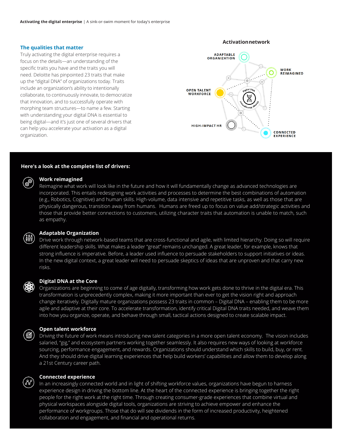#### **The qualities that matter**

Truly activating the digital enterprise requires a focus on the details—an understanding of the specific traits you have and the traits you will need. Deloitte has pinpointed 23 traits that make up the "digital DNA" of organizations today. Traits include an organization's ability to intentionally collaborate, to continuously innovate, to democratize that innovation, and to successfully operate with morphing team structures—to name a few. Starting with understanding your digital DNA is essential to being digital—and it's just one of several drivers that can help you accelerate your activation as a digital organization.



#### **Here's a look at the complete list of drivers:**

## ි<sup>ල</sup>

#### **Work reimagined**

Reimagine what work will look like in the future and how it will fundamentally change as advanced technologies are incorporated. This entails redesigning work activities and processes to determine the best combinations of automation (e.g., Robotics, Cognitive) and human skills. High-volume, data intensive and repetitive tasks, as well as those that are physically dangerous, transition away from humans. Humans are freed up to focus on value add/strategic activities and those that provide better connections to customers, utilizing character traits that automation is unable to match, such as empathy.

#### **Adaptable Organization**

Drive work through network-based teams that are cross-functional and agile, with limited hierarchy. Doing so will require different leadership skills. What makes a leader "great" remains unchanged. A great leader, for example, knows that strong influence is imperative. Before, a leader used influence to persuade stakeholders to support initiatives or ideas. In the new digital context, a great leader will need to persuade skeptics of ideas that are unproven and that carry new risks.

#### **Digital DNA at the Core**

Organizations are beginning to come of age digitally, transforming how work gets done to thrive in the digital era. This transformation is unprecedently complex, making it more important than ever to get the vision right and approach change iteratively. Digitally mature organizations possess 23 traits in common – Digital DNA – enabling them to be more agile and adaptive at their core. To accelerate transformation, identify critical Digital DNA traits needed, and weave them into how you organize, operate, and behave through small, tactical actions designed to create scalable impact.

(နေ

#### **Open talent workforce**

Driving the future of work means introducing new talent categories in a more open talent economy. The vision includes salaried, "gig," and ecosystem partners working together seamlessly. It also requires new ways of looking at workforce sourcing, performance engagement, and rewards. Organizations should understand which skills to build, buy, or rent. And they should drive digital learning experiences that help build workers' capabilities and allow them to develop along a 21st Century career path.

#### **Connected experience**

In an increasingly connected world and in light of shifting workforce values, organizations have begun to harness experience design in driving the bottom line. At the heart of the connected experience is bringing together the right people for the right work at the right time. Through creating consumer-grade experiences that combine virtual and physical workspaces alongside digital tools, organizations are striving to achieve empower and enhance the performance of workgroups. Those that do will see dividends in the form of increased productivity, heightened collaboration and engagement, and financial and operational returns.

#### **Activationnetwork**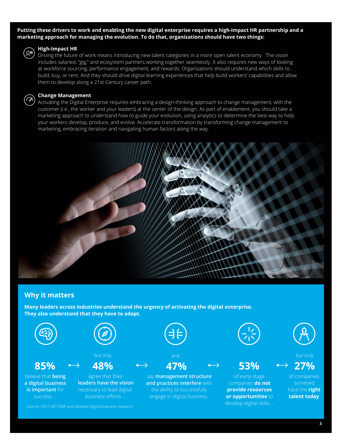**Putting these drivers to work and enabling the new digital enterprise requires a high-impact HR partnership and a marketing approach for managing the evolution. To do that, organizations should have two things:**



#### **High-Impact HR**

Driving the future of work means introducing new talent categories in a more open talent economy. The vision includes salaried, "gig," and ecosystem partners working together seamlessly. It also requires new ways of looking at workforce sourcing, performance engagement, and rewards. Organizations should understand which skills to build, buy, or rent. And they should drive digital learning experiences that help build workers' capabilities and allow them to develop along a 21st Century career path.



Activating the Digital Enterprise requires embracing a design-thinking approach to change management, with the customer (i.e., the worker and your leaders) at the center of the design. As part of enablement, you should take a marketing approach to understand how to guide your evolution, using analytics to determine the best way to help your workers develop, produce, and evolve. Accelerate transformation by transforming change management to marketing, embracing iteration and navigating human factors along the way.



### **Why it matters**

**Many leaders across industries understand the urgency of activating the digital enterprise. They also understand that they have to adapt.**

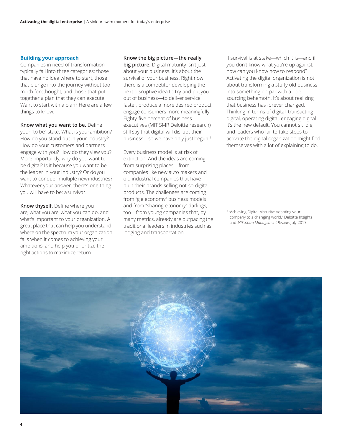#### **Building your approach**

Companies in need of transformation typically fall into three categories: those that have no idea where to start, those that plunge into the journey without too much forethought, and those that put together a plan that they can execute. Want to start with a plan? Here are a few things to know.

**Know what you want to be.** Define your "to be" state. What is yourambition? How do you stand out in your industry? How do your customers and partners engage with you? How do they view you? More importantly, why do you want to be digital? Is it because you want to be the leader in your industry? Or doyou want to conquer multiple newindustries? Whatever your answer, there's one thing you will have to be: asurvivor.

**Know thyself.** Define where you are, what you are, what you can do, and what's important to your organization. A great place that can help you understand where on the spectrum your organization falls when it comes to achieving your ambitions, and help you prioritize the right actions to maximize return.

#### **Know the big picture—the really**

**big picture.** Digital maturity isn't just about your business. It's about the survival of your business. Right now there is a competitor developing the next disruptive idea to try and putyou out of business—to deliver service faster, produce a more desired product, engage consumers more meaningfully. Eighty-five percent of business executives (MIT SMR Deloitte research) still say that digital will disrupt their business-so we have only just begun.<sup>1</sup>

Every business model is at risk of extinction. And the ideas are coming from surprising places—from companies like new auto makers and old industrial companies that have built their brands selling not-so-digital products. The challenges are coming from "gig economy" business models and from "sharing economy" darlings, too—from young companies that, by many metrics, already are outpacing the traditional leaders in industries such as lodging and transportation.

If survival is at stake—which it is—and if you don't know what you're up against, how can you know how to respond? Activating the digital organization is not about transforming a stuffy old business into something on par with a ridesourcing behemoth. It's about realizing that business has forever changed. Thinking in terms of digital, transacting digital, operating digital, engaging digital it's the new default. You cannot sit idle, and leaders who fail to take steps to activate the digital organization might find themselves with a lot of explaining to do.

<sup>1</sup>"Achieving Digital Maturity: Adapting your company to a changing world," Deloitte Insights and *MIT Sloan Management Review*, July 2017.

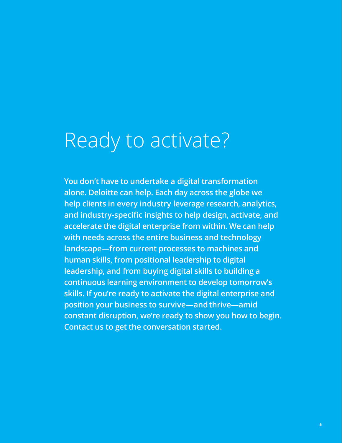# Ready to activate?

**You don't have to undertake a digital transformation alone. Deloitte can help. Each day across the globe we help clients in every industry leverage research, analytics, and industry-specific insights to help design, activate, and accelerate the digital enterprise from within. We can help with needs across the entire business and technology landscape—from current processes to machines and human skills, from positional leadership to digital leadership, and from buying digital skills to building a continuous learning environment to develop tomorrow's skills. If you're ready to activate the digital enterprise and position your business to survive—andthrive—amid constant disruption, we're ready to show you how to begin. Contact us to get the conversation started.**